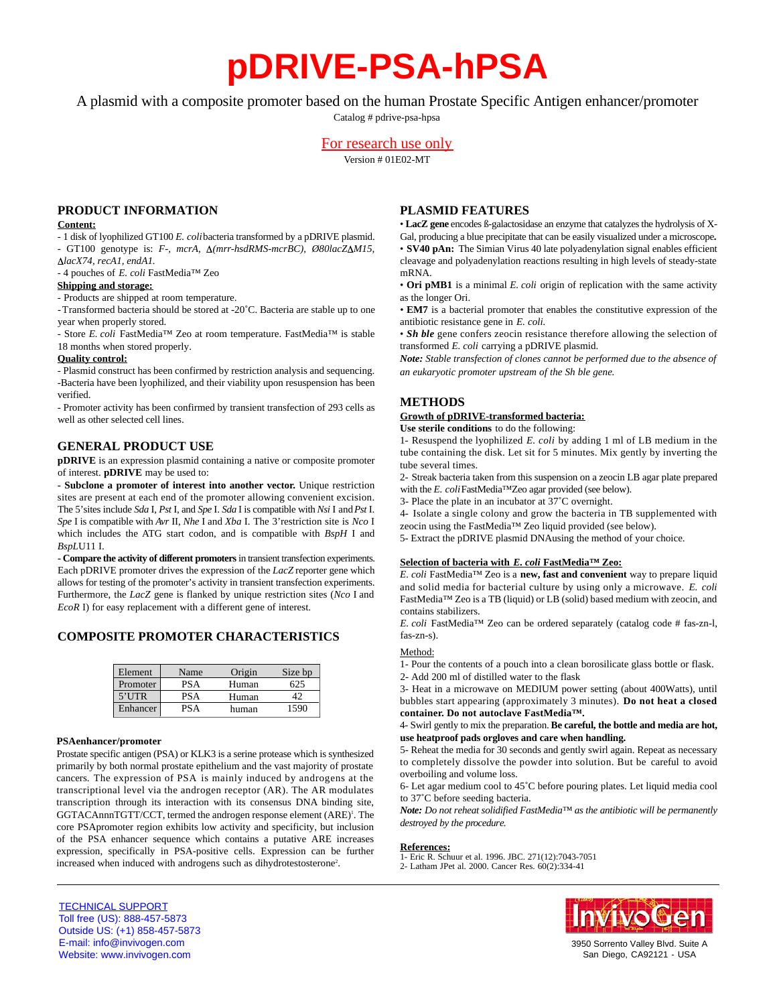# **pDRIVE-PSA-hPSA**

A plasmid with a composite promoter based on the human Prostate Specific Antigen enhancer/promoter

Catalog # pdrive-psa-hpsa

# For research use only

Version # 01E02-MT

## **PRODUCT INFORMATION**

#### **Content:**

- 1 disk of lyophilized GT100 *E. coli*bacteria transformed by a pDRIVE plasmid. - GT100 genotype is: *F-, mcrA, Δ(mrr-hsdRMS-mcrBC), Ø80lacZΔM15, lacX74, recA1, endA1.*

- 4 pouches of *E. coli* FastMedia™ Zeo

## **Shipping and storage:**

- Products are shipped at room temperature.

-Transformed bacteria should be stored at -20˚C. Bacteria are stable up to one year when properly stored.

- Store *E. coli* FastMedia™ Zeo at room temperature. FastMedia™ is stable 18 months when stored properly.

#### **Quality control:**

- Plasmid construct has been confirmed by restriction analysis and sequencing. -Bacteria have been lyophilized, and their viability upon resuspension has been verified.

- Promoter activity has been confirmed by transient transfection of 293 cells as well as other selected cell lines.

# **GENERAL PRODUCT USE**

**pDRIVE** is an expression plasmid containing a native or composite promoter of interest. **pDRIVE** may be used to:

**- Subclone a promoter of interest into another vector.** Unique restriction sites are present at each end of the promoter allowing convenient excision. The 5'sites include *Sda* I, *Pst* I, and *Spe* I. *Sda* I is compatible with *Nsi* I and *Pst* I. *Spe* I is compatible with *Avr* II, *Nhe* I and *Xba* I. The 3'restriction site is *Nco* I which includes the ATG start codon, and is compatible with *BspH* I and *BspL*U11 I.

- Compare the activity of different promoters in transient transfection experiments. Each pDRIVE promoter drives the expression of the *LacZ* reporter gene which allows for testing of the promoter's activity in transient transfection experiments. Furthermore, the *LacZ* gene is flanked by unique restriction sites (*Nco* I and *EcoR* I) for easy replacement with a different gene of interest.

## **COMPOSITE PROMOTER CHARACTERISTICS**

| Element  | Name       | Origin | Size bp |
|----------|------------|--------|---------|
| Promoter | <b>PSA</b> | Human  | 525     |
| $5'$ UTR | <b>PSA</b> | Human  |         |
| Enhancer | PSA        | human  | 590     |

#### **PSAenhancer/promoter**

Prostate specific antigen (PSA) or KLK3 is a serine protease which is synthesized primarily by both normal prostate epithelium and the vast majority of prostate cancers. The expression of PSA is mainly induced by androgens at the transcriptional level via the androgen receptor (AR). The AR modulates transcription through its interaction with its consensus DNA binding site, GGTACAnnnTGTT/CCT, termed the androgen response element (ARE)<sup>1</sup>. The core PSApromoter region exhibits low activity and specificity, but inclusion of the PSA enhancer sequence which contains a putative ARE increases expression, specifically in PSA-positive cells. Expression can be further increased when induced with androgens such as dihydrotestosterone<sup>2</sup> .

# **PLASMID FEATURES**

• **LacZ gene** encodes ß-galactosidase an enzyme that catalyzes the hydrolysis of X-Gal, producing a blue precipitate that can be easily visualized under a microscope**.** • **SV40 pAn:** The Simian Virus 40 late polyadenylation signal enables efficient cleavage and polyadenylation reactions resulting in high levels of steady-state mRNA.

• **Ori pMB1** is a minimal *E. coli* origin of replication with the same activity as the longer Ori.

• **EM7** is a bacterial promoter that enables the constitutive expression of the antibiotic resistance gene in *E. coli.*

• *Sh ble* gene confers zeocin resistance therefore allowing the selection of transformed *E. coli* carrying a pDRIVE plasmid.

*Note: Stable transfection of clones cannot be performed due to the absence of an eukaryotic promoter upstream of the Sh ble gene.*

# **METHODS**

## **Growth of pDRIVE-transformed bacteria:**

**Use sterile conditions** to do the following:

1- Resuspend the lyophilized *E. coli* by adding 1 ml of LB medium in the tube containing the disk. Let sit for 5 minutes. Mix gently by inverting the tube several times.

2- Streak bacteria taken from this suspension on a zeocin LB agar plate prepared with the *E. coli*FastMedia™Zeo agar provided (see below).

3- Place the plate in an incubator at 37˚C overnight.

4- Isolate a single colony and grow the bacteria in TB supplemented with zeocin using the FastMedia™ Zeo liquid provided (see below).

5- Extract the pDRIVE plasmid DNAusing the method of your choice.

## **Selection of bacteria with** *E. coli* **FastMedia™ Zeo:**

*E. coli* FastMedia™ Zeo is a new, fast and convenient way to prepare liquid and solid media for bacterial culture by using only a microwave. *E. coli* FastMedia™ Zeo is a TB (liquid) or LB (solid) based medium with zeocin, and contains stabilizers.

*E. coli* FastMedia™ Zeo can be ordered separately (catalog code # fas-zn-l, fas-zn-s).

#### Method:

1- Pour the contents of a pouch into a clean borosilicate glass bottle or flask.

2- Add 200 ml of distilled water to the flask

3- Heat in a microwave on MEDIUM power setting (about 400Watts), until bubbles start appearing (approximately 3 minutes). **Do not heat a closed** container. Do not autoclave FastMedia™.

4- Swirl gently to mix the preparation. **Be careful, the bottle and media are hot, use heatproof pads orgloves and care when handling.**

5- Reheat the media for 30 seconds and gently swirl again. Repeat as necessary to completely dissolve the powder into solution. But be careful to avoid overboiling and volume loss.

6- Let agar medium cool to 45˚C before pouring plates. Let liquid media cool to 37˚C before seeding bacteria.

*Note: Do not reheat solidified FastMedia™ as the antibiotic will be permanently destroyed by the procedure.* 

#### **References:**

1- Eric R. Schuur et al. 1996. JBC. 271(12):7043-7051

2- Latham JPet al. 2000. Cancer Res. 60(2):334-41



3950 Sorrento Valley Blvd. Suite A San Diego, CA92121 - USA

TECHNICAL SUPPORT Toll free (US): 888-457-5873 Outside US: (+1) 858-457-5873 E-mail: info@invivogen.com Website: www.invivogen.com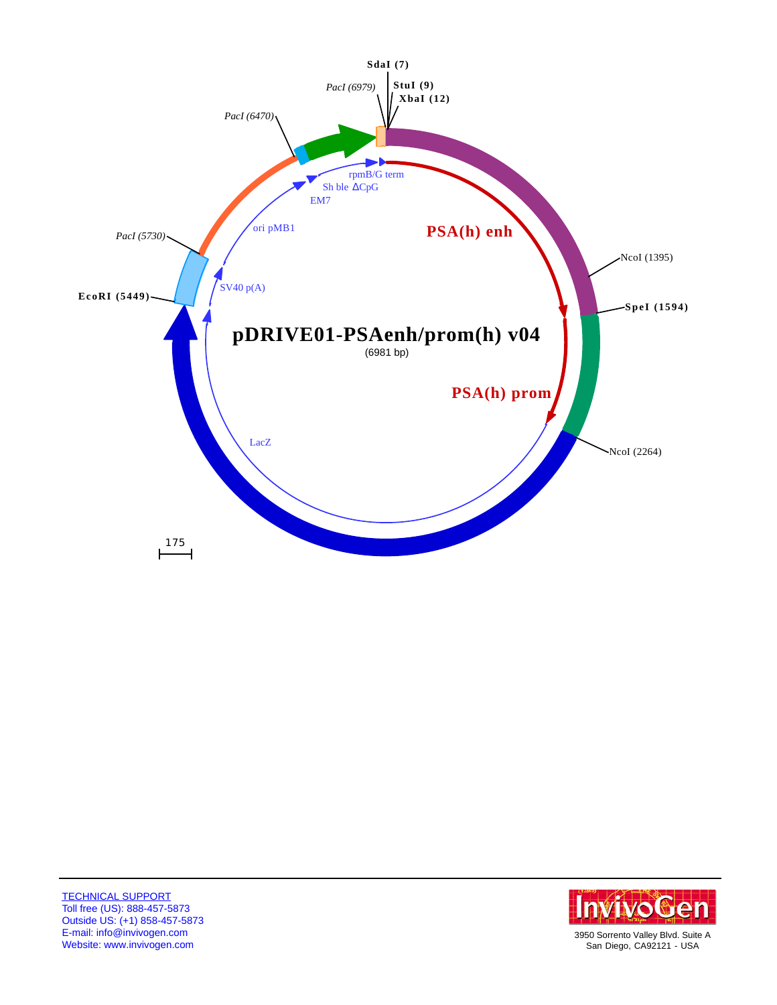



San Diego, CA92121 - USA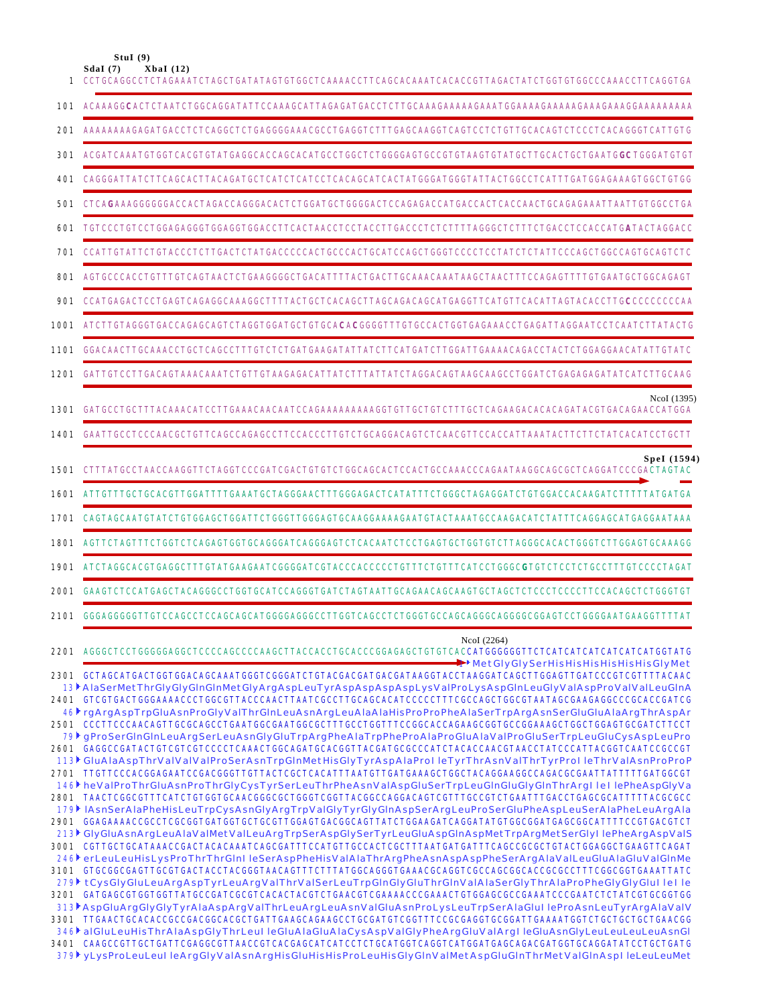**StuI (9)**

|      | SdaI(7)<br>XbaI(12)<br>CCTGCAGGCCTCTAGAAATCTAGCTGATATAGTGTGGCTCAAAACCTTCAGCACAAATCACACCGTTAGACTATCTGGTGTGCCCAAACC                                                                                                                                                                                                                                                                                                                                 |
|------|---------------------------------------------------------------------------------------------------------------------------------------------------------------------------------------------------------------------------------------------------------------------------------------------------------------------------------------------------------------------------------------------------------------------------------------------------|
| 101  |                                                                                                                                                                                                                                                                                                                                                                                                                                                   |
| 201  | AAAAAAAAGAGATGACCTCTCAGGCTCTGAGGGGAAACGCCTGAGGTCTTTGAGCAAGGTCAGTCCTCTGTTGCACAGTCTCCCTCACAGGGTCATTGTG                                                                                                                                                                                                                                                                                                                                              |
| 301  | ACGATCAAATGTGGTCACGTGTATGAGGCACCAGCACATGCCTGGCTCTGGGGAGTGCCGTGTAAGTGTATGCTTGCACTGCTGAATG <b>GC</b> TGGGATGT                                                                                                                                                                                                                                                                                                                                       |
| 401  |                                                                                                                                                                                                                                                                                                                                                                                                                                                   |
| 501  |                                                                                                                                                                                                                                                                                                                                                                                                                                                   |
| 601  | _TGTCCCTGTCCTGGAGAGGGTGGAGGTGGACCTTCACTAACCTCCTACCTTGACCCTCTCTTTTAGGGCTCTTTCTGACCTCCACCATGATACTAGGAC                                                                                                                                                                                                                                                                                                                                              |
| 701  | CCATTGTATTCTGTACCCTCTTGACTCTATGACCCCCACTGCCCACTGCATCCAGCTGGGTCCCCTCCTATCTCTATTCCCAGCTGGCCAGTGCAGTCTC                                                                                                                                                                                                                                                                                                                                              |
| 801  |                                                                                                                                                                                                                                                                                                                                                                                                                                                   |
| 901  |                                                                                                                                                                                                                                                                                                                                                                                                                                                   |
| 1001 | ATCTTGTAGGGTGACCAGAGCAGTCTAGGTGGATGCTGTGCACACGGGGTTTGTGCCACTGGTGAGAAACCTGAGATTAGGAATCCTCAATCTTATA                                                                                                                                                                                                                                                                                                                                                 |
| 1101 | GGACAACTTGCAAACCTGCTCAGCCTTTGTCTCTGATGAAGATATTATCTTCATGATCTTGGATTGAAAACAGACCTACTCTGGAGGAACATATTGTATC                                                                                                                                                                                                                                                                                                                                              |
| 1201 |                                                                                                                                                                                                                                                                                                                                                                                                                                                   |
| 1301 | NcoI (1395)                                                                                                                                                                                                                                                                                                                                                                                                                                       |
| 1401 | GAATTGCCTCCCAACGCTGTTCAGCCAGAGCCTTCCACCCTTGTCTGCAGGACAGTCTCAACGTTCCACCATTAAATACTTCTTCTATCACATCCTGCTT                                                                                                                                                                                                                                                                                                                                              |
| 1501 | SpeI (1594)<br>CTTTATGCCTAACCAAGGTTCTAGGTCCCGATCGACTGTGTCTGGCAGCACTCCACTGCCAAACCCAGAATAAGGCAGCGCTCAGGATCCCGACTAGTAC                                                                                                                                                                                                                                                                                                                               |
| 1601 | ATTGTTTGCTGCACGTTGGATTTTGAAATGCTAGGGAACTTTGGGAGACTCATATTTCTGGGCTAGAGGATCTGTGGACCACAAGATCTTT                                                                                                                                                                                                                                                                                                                                                       |
| 1701 | CAGTAGCAATGTATCTGTGGAGCTGGATTCTGGGTTGGGAGTGCAAGGAAAAGAATGTACTAAATGCCAAGACATCTATTTCAGGAGCATGAGGAATAAA                                                                                                                                                                                                                                                                                                                                              |
| 1801 | AGTTCTAGTTTCTGGTCTCAGAGTGCTGCAGGGATCAGGGAGTCTCACAATCTCCTGAGTGCTGGTGTCTTAGGGCACACTGGGTCTTGGAGTGCAAAGG                                                                                                                                                                                                                                                                                                                                              |
| 1901 |                                                                                                                                                                                                                                                                                                                                                                                                                                                   |
| 2001 |                                                                                                                                                                                                                                                                                                                                                                                                                                                   |
| 2101 | GGGAGGGGGTTGTCCAGCCTCCAGCAGCATGGGGAGGGCCTTGGTCAGCCTCTGGGTGCCAGCAGGGCGAGGGGGGGAGTCCTGGGGAATGAAGGTTTTAT                                                                                                                                                                                                                                                                                                                                             |
|      | NcoI (2264)<br>2201 AGGGCTCCTGGGGGAGGCTCCCCAGCCCCAAGCTTACCACCTGCACCCGGAGAGCTGTGTCAC <b>CATGGGGGGTTCTCATCATCATCATCATGGTATG</b><br>ThetGlyGlySerHisHisHisHisHisHisGlyMet                                                                                                                                                                                                                                                                            |
|      | 2301 GCTAGCATGACTGGTGGACAGCAAATGGGTCGGGATCTGTACGACGATGACGATAAGGTACCTAAGGATCAGCTTGGAGTTGATCCCGTCGTTTTACAAC<br>13 AlaSerMetThrGlyGlyGlnGlnMetGlyArgAspLeuTyrAspAspAspAspLysValProLysAspGlnLeuGlyValAspProValValLeuGlnA<br>2401 GTCGTGACTGGGAAAACCCTGGCGTTACCCAACTTAATCGCCTTGCAGCACATCCCCCTTTCGCCAGCTGGCGTAATAGCGAAGAGGCCCGCACCGATCG<br>46 gArgAspTrpGluAsnProGlyValThrGlnLeuAsnArgLeuAlaAlaHisProProPheAlaSerTrpArgAsnSerGluGluAlaArgThrAspAr       |
|      | 79) gProSerGInGInLeuArgSerLeuAsnGlyGluTrpArgPheAlaTrpPheProAlaProGluAlaValProGluSerTrpLeuGluCysAspLeuPro<br>2601 GAGGCCGATACTGTCGTCGTCCCCTCAAACTGGCAGATGCACGGTTACGATGCGCCCATCTACACCAACGTAACCTATCCCATTACGGTCAATCCGCCGT                                                                                                                                                                                                                             |
|      | 113 GluAlaAspThrValValValProSerAsnTrpGlnMetHisGlyTyrAspAlaProl leTyrThrAsnValThrTyrProl leThrValAsnProProP<br>2701 TTGTTCCCACGGAGAATCCGACGGGTTGTTACTCGCTCACATTTAATGTTGATGAAAGCTGGCTACAGGAAGGCCAGACGCGAATTATTTTTGATGGCGT<br>146 heValProThrGluAsnProThrGlyCysTyrSerLeuThrPheAsnValAspGluSerTrpLeuGlnGluGlyGlnThrArgIlellePheAspGlyVa                                                                                                               |
|      | 2801 TAACTCGGCGTTTCATCTGTGGTGCAACGGGCGCTGGGTCGGTTACGGCCAGGACAGTCGTTTGCCGTCTGAATTTGACCTGAGCGCATTTTTACGCGCC<br>179 IAsnSerAlaPheHisLeuTrpCysAsnGlyArgTrpValGlyTyrGlyGlnAspSerArgLeuProSerGluPheAspLeuSerAlaPheLeuArgAla<br>2901 GGAGAAAACCGCCTCGCGGTGATGGTGCTGCGTTGGAGTGACGGCAGTTATCTGGAAGATCAGGATATGTGGCGGATGAGCGGCATTTTCCGTGACGTCT                                                                                                                |
|      | 213 GlyGluAsnArgLeuAlaValMetValLeuArgTrpSerAspGlySerTyrLeuGluAspGlnAspMetTrpArgMetSerGlyl lePheArgAspValS<br>3001 CGTTGCTGCATAAACCGACTACACAAATCAGCGATTTCCATGTTGCCACTCGCTTTAATGATGATTTCAGCCGCGCTGTACTGGAGGCTGAAGTTCAGAT<br>246 erLeuLeuHisLysProThrThrGlnl leSerAspPheHisValAlaThrArgPheAsnAspAspPheSerArgAlaValLeuGluAlaGluValGlnMe<br>3101 GTGCGGCGAGTTGCGTGACTACCTACGGGTAACAGTTTCTTTATGGCAGGGTGAAACGCAGGTCGCCAGCGGCACCGCGCCTTTCGGCGGTGAAATTATC  |
|      | 279 tCysGlyGluLeuArgAspTyrLeuArgValThrValSerLeuTrpGlnGlyGluThrGlnValAlaSerGlyThrAlaProPheGlyGlyGlul lel le<br>3201 GATGAGCGTGGTGGTTATGCCGATCGCGTCACACTACGTCTGAACGTCGAAAACCCGAAACTGTGGAGCGCCGAAATCCCGAATCTCTATCGTGCGGTGG<br>313 AspGluArgGlyGlyTyrAlaAspArgValThrLeuArgLeuAsnValGluAsnProLysLeuTrpSerAlaGlul leProAsnLeuTyrArgAlaValV<br>3301 TTGAACTGCACACCGCCGACGGCACGCTGATTGAAGCAGAAGCCTGCGATGTCGGTTTCCGCGAGGTGCGGATTGAAAATGGTCTGCTGCTGCTGAACGG |
|      | 346 alGluLeuHisThrAlaAspGlyThrLeul leGluAlaGluAlaCysAspValGlyPheArgGluValArgl leGluAsnGlyLeuLeuLeuLeuAsnGl<br>379 yLysProLeuLeuI leArgGlyValAsnArgHisGluHisHisProLeuHisGlyGlnValMetAspGluGlnThrMetValGlnAspl leLeuLeuMet                                                                                                                                                                                                                          |